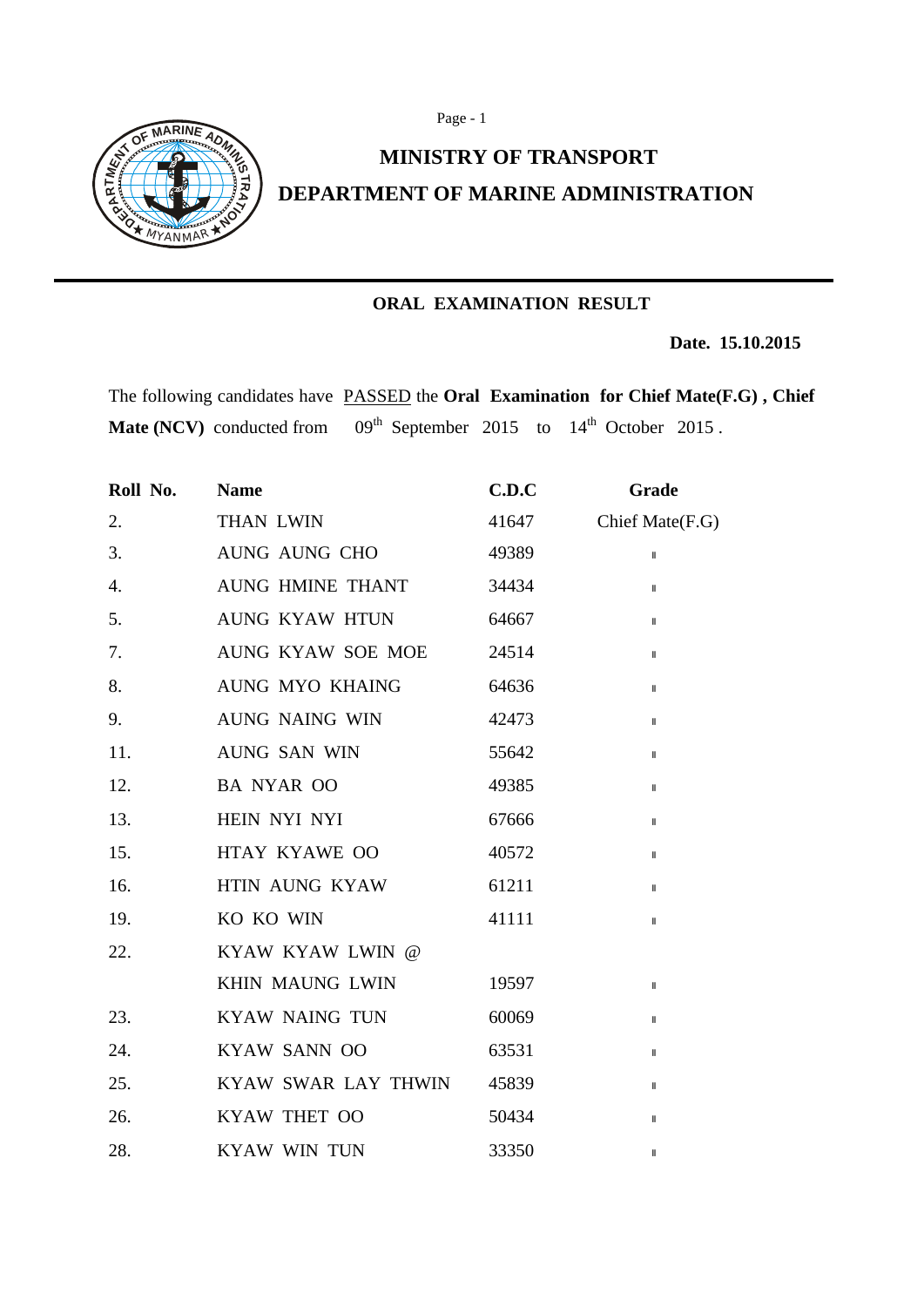



## **MINISTRY OF TRANSPORT DEPARTMENT OF MARINE ADMINISTRATION**

## **ORAL EXAMINATION RESULT**

 **Date. 15.10.2015** 

The following candidates have PASSED the **Oral Examination for Chief Mate(F.G) , Chief**  Mate (NCV) conducted from 09<sup>th</sup> September 2015 to 14<sup>th</sup> October 2015.

| Roll No. | <b>Name</b>            | C.D.C | Grade                      |
|----------|------------------------|-------|----------------------------|
| 2.       | <b>THAN LWIN</b>       | 41647 | Chief Mate(F.G)            |
| 3.       | AUNG AUNG CHO          | 49389 | $\ensuremath{\mathsf{II}}$ |
| 4.       | AUNG HMINE THANT       | 34434 | $\mathbf{I}$               |
| 5.       | AUNG KYAW HTUN         | 64667 | $\mathbf{I}$               |
| 7.       | AUNG KYAW SOE MOE      | 24514 | $\, \parallel$             |
| 8.       | <b>AUNG MYO KHAING</b> | 64636 | $\mathbf{I}$               |
| 9.       | <b>AUNG NAING WIN</b>  | 42473 | $\mathbf{I}$               |
| 11.      | <b>AUNG SAN WIN</b>    | 55642 | $\mathbf{I}$               |
| 12.      | <b>BA NYAR OO</b>      | 49385 | $\mathbf{I}$               |
| 13.      | HEIN NYI NYI           | 67666 | $\mathbf{I}$               |
| 15.      | HTAY KYAWE OO          | 40572 | $\, \parallel$             |
| 16.      | <b>HTIN AUNG KYAW</b>  | 61211 | $\mathbf{I}$               |
| 19.      | KO KO WIN              | 41111 | $\mathbf{I}$               |
| 22.      | KYAW KYAW LWIN @       |       |                            |
|          | KHIN MAUNG LWIN        | 19597 | $\, \parallel$             |
| 23.      | <b>KYAW NAING TUN</b>  | 60069 | $\mathbf{I}$               |
| 24.      | <b>KYAW SANN OO</b>    | 63531 | $\mathbf{I}$               |
| 25.      | KYAW SWAR LAY THWIN    | 45839 | Ш                          |
| 26.      | KYAW THET OO           | 50434 | $\mathsf{I}$               |
| 28.      | <b>KYAW WIN TUN</b>    | 33350 | $\mathbf{I}$               |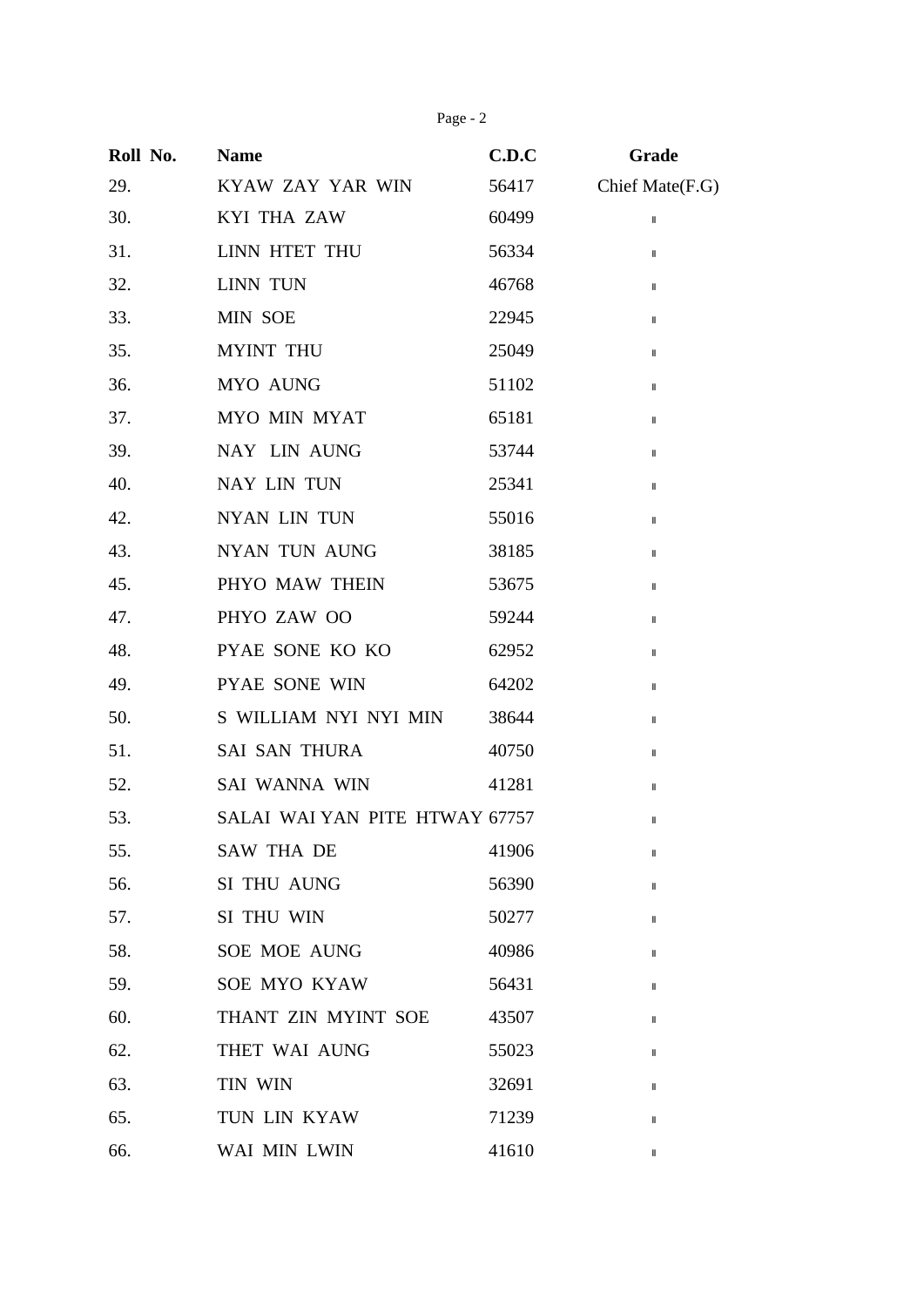Page - 2

| Roll No. | <b>Name</b>                    | C.D.C | Grade                      |
|----------|--------------------------------|-------|----------------------------|
| 29.      | KYAW ZAY YAR WIN               | 56417 | Chief Mate(F.G)            |
| 30.      | <b>KYI THA ZAW</b>             | 60499 | $\ensuremath{\mathsf{II}}$ |
| 31.      | LINN HTET THU                  | 56334 | $\, \parallel$             |
| 32.      | LINN TUN                       | 46768 | $\, \parallel$             |
| 33.      | MIN SOE                        | 22945 | $\ $                       |
| 35.      | <b>MYINT THU</b>               | 25049 | $\mathsf{I}$               |
| 36.      | MYO AUNG                       | 51102 | $\mathbf{I}$               |
| 37.      | MYO MIN MYAT                   | 65181 | $\, \parallel$             |
| 39.      | NAY LIN AUNG                   | 53744 | $\, \parallel$             |
| 40.      | NAY LIN TUN                    | 25341 | Ш                          |
| 42.      | NYAN LIN TUN                   | 55016 | $\mathsf{I}$               |
| 43.      | <b>NYAN TUN AUNG</b>           | 38185 | Ш                          |
| 45.      | PHYO MAW THEIN                 | 53675 | $\, \parallel$             |
| 47.      | PHYO ZAW OO                    | 59244 | $\, \parallel$             |
| 48.      | PYAE SONE KO KO                | 62952 | $\, \parallel$             |
| 49.      | PYAE SONE WIN                  | 64202 | $\, \parallel$             |
| 50.      | S WILLIAM NYI NYI MIN          | 38644 | $\mathsf{I}$               |
| 51.      | <b>SAI SAN THURA</b>           | 40750 | $\, \parallel$             |
| 52.      | SAI WANNA WIN                  | 41281 | $\, \parallel$             |
| 53.      | SALAI WAI YAN PITE HTWAY 67757 |       | $\sf II$                   |
| 55.      | <b>SAW THA DE</b>              | 41906 | $\mathsf{I}$               |
| 56.      | SI THU AUNG                    | 56390 | Ш                          |
| 57.      | SI THU WIN                     | 50277 | Ш                          |
| 58.      | <b>SOE MOE AUNG</b>            | 40986 | Ш                          |
| 59.      | <b>SOE MYO KYAW</b>            | 56431 | Ш                          |
| 60.      | THANT ZIN MYINT SOE            | 43507 | $\mathbf{I}$               |
| 62.      | THET WAI AUNG                  | 55023 | Ш                          |
| 63.      | TIN WIN                        | 32691 | $\mathsf{I}$               |
| 65.      | TUN LIN KYAW                   | 71239 | $\mathsf{I}$               |
| 66.      | WAI MIN LWIN                   | 41610 | $\, \parallel$             |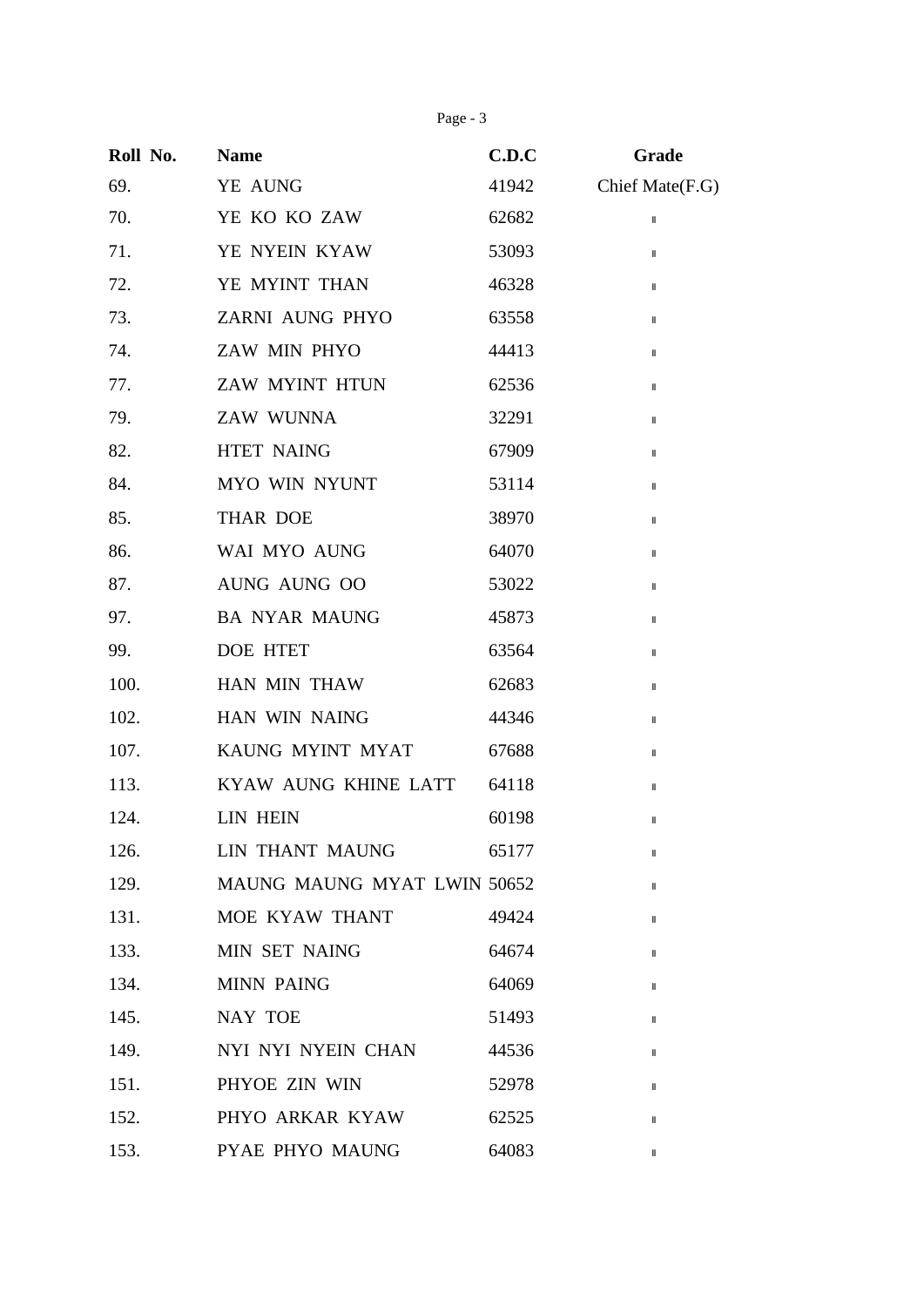Page - 3

| Roll No. | <b>Name</b>                 | C.D.C | Grade           |
|----------|-----------------------------|-------|-----------------|
| 69.      | YE AUNG                     | 41942 | Chief Mate(F.G) |
| 70.      | YE KO KO ZAW                | 62682 | $\, \parallel$  |
| 71.      | YE NYEIN KYAW               | 53093 | $\, \parallel$  |
| 72.      | YE MYINT THAN               | 46328 | Ш               |
| 73.      | ZARNI AUNG PHYO             | 63558 | Ш               |
| 74.      | ZAW MIN PHYO                | 44413 | $\sf II$        |
| 77.      | ZAW MYINT HTUN              | 62536 | $\mathbf{I}$    |
| 79.      | ZAW WUNNA                   | 32291 | $\, \parallel$  |
| 82.      | <b>HTET NAING</b>           | 67909 | Ш               |
| 84.      | MYO WIN NYUNT               | 53114 | Ш               |
| 85.      | <b>THAR DOE</b>             | 38970 | $\mathsf{I}$    |
| 86.      | WAI MYO AUNG                | 64070 | $\mathbf{I}$    |
| 87.      | AUNG AUNG OO                | 53022 | $\sf II$        |
| 97.      | <b>BA NYAR MAUNG</b>        | 45873 | Ш               |
| 99.      | <b>DOE HTET</b>             | 63564 | Ш               |
| 100.     | HAN MIN THAW                | 62683 | Ш               |
| 102.     | HAN WIN NAING               | 44346 | Ш               |
| 107.     | KAUNG MYINT MYAT            | 67688 | Ш               |
| 113.     | KYAW AUNG KHINE LATT        | 64118 | Ш               |
| 124.     | <b>LIN HEIN</b>             | 60198 | $\mathsf{I}$    |
| 126.     | <b>LIN THANT MAUNG</b>      | 65177 | Ш               |
| 129.     | MAUNG MAUNG MYAT LWIN 50652 |       | Ш               |
| 131.     | MOE KYAW THANT              | 49424 | $\mathsf{I}$    |
| 133.     | MIN SET NAING               | 64674 | $\mathsf{I}$    |
| 134.     | <b>MINN PAING</b>           | 64069 | $\mathbf{I}$    |
| 145.     | <b>NAY TOE</b>              | 51493 | $\mathsf{I}$    |
| 149.     | NYI NYI NYEIN CHAN          | 44536 | $\mathsf{I}$    |
| 151.     | PHYOE ZIN WIN               | 52978 | Ш               |
| 152.     | PHYO ARKAR KYAW             | 62525 | $\mathsf{I}$    |
| 153.     | PYAE PHYO MAUNG             | 64083 | $\mathsf{I}$    |